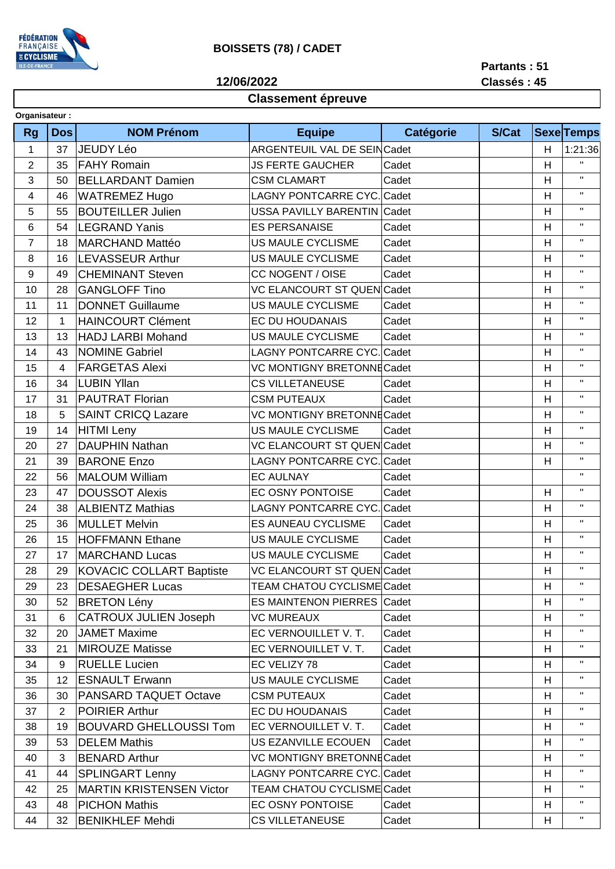

## **BOISSETS (78) / CADET**

**12/06/2022**

**Partants : 51 Classés : 45**

## **Classement épreuve**

| Organisateur:  |            |                                 |                                   |           |              |         |                   |  |  |  |  |  |
|----------------|------------|---------------------------------|-----------------------------------|-----------|--------------|---------|-------------------|--|--|--|--|--|
| <b>Rg</b>      | <b>Dos</b> | <b>NOM Prénom</b>               | <b>Equipe</b>                     | Catégorie | <b>S/Cat</b> |         | <b>Sexe Temps</b> |  |  |  |  |  |
| $\mathbf{1}$   | 37         | <b>JEUDY Léo</b>                | ARGENTEUIL VAL DE SEINCadet       |           | Н            | 1:21:36 |                   |  |  |  |  |  |
| $\overline{2}$ | 35         | <b>FAHY Romain</b>              | <b>JS FERTE GAUCHER</b>           | Cadet     |              | H       | $\mathbf{H}$      |  |  |  |  |  |
| 3              | 50         | <b>BELLARDANT Damien</b>        | <b>CSM CLAMART</b>                | Cadet     |              | H       | $\mathbf{H}$      |  |  |  |  |  |
| $\overline{4}$ | 46         | <b>WATREMEZ Hugo</b>            | <b>LAGNY PONTCARRE CYC. Cadet</b> |           |              | H       | $\mathbf H$       |  |  |  |  |  |
| 5              | 55         | <b>BOUTEILLER Julien</b>        | <b>USSA PAVILLY BARENTIN</b>      | Cadet     |              | H       | $\mathbf H$       |  |  |  |  |  |
| 6              | 54         | <b>LEGRAND Yanis</b>            | <b>ES PERSANAISE</b>              | Cadet     |              | H       | $\mathbf H$       |  |  |  |  |  |
| $\overline{7}$ | 18         | <b>MARCHAND Mattéo</b>          | US MAULE CYCLISME                 | Cadet     |              | H       | $\mathbf H$       |  |  |  |  |  |
| 8              | 16         | <b>LEVASSEUR Arthur</b>         | US MAULE CYCLISME                 | Cadet     |              | H       | $\mathbf{H}$      |  |  |  |  |  |
| $9\,$          | 49         | <b>CHEMINANT Steven</b>         | CC NOGENT / OISE                  | Cadet     |              | H       | $\mathbf H$       |  |  |  |  |  |
| 10             | 28         | <b>GANGLOFF Tino</b>            | VC ELANCOURT ST QUEN Cadet        |           |              | H       | $\mathbf H$       |  |  |  |  |  |
| 11             | 11         | <b>DONNET Guillaume</b>         | <b>US MAULE CYCLISME</b>          | Cadet     |              | H       | $\mathbf H$       |  |  |  |  |  |
| 12             | 1          | <b>HAINCOURT Clément</b>        | EC DU HOUDANAIS                   | Cadet     |              | H       | $\mathbf{H}$      |  |  |  |  |  |
| 13             | 13         | <b>HADJ LARBI Mohand</b>        | <b>US MAULE CYCLISME</b>          | Cadet     |              | H       | $\mathbf H$       |  |  |  |  |  |
| 14             | 43         | <b>NOMINE Gabriel</b>           | LAGNY PONTCARRE CYC. Cadet        |           |              | H       | $\mathbf{H}$      |  |  |  |  |  |
| 15             | 4          | <b>FARGETAS Alexi</b>           | VC MONTIGNY BRETONNE Cadet        |           |              | H       | $\mathbf H$       |  |  |  |  |  |
| 16             | 34         | <b>LUBIN Yllan</b>              | <b>CS VILLETANEUSE</b>            | Cadet     |              | Н       | $\mathbf{H}$      |  |  |  |  |  |
| 17             | 31         | <b>PAUTRAT Florian</b>          | <b>CSM PUTEAUX</b>                | Cadet     |              | H       | $\mathbf H$       |  |  |  |  |  |
| 18             | 5          | <b>SAINT CRICQ Lazare</b>       | VC MONTIGNY BRETONNE Cadet        |           |              | Н       | $\mathbf{H}$      |  |  |  |  |  |
| 19             | 14         | <b>HITMI</b> Leny               | US MAULE CYCLISME                 | Cadet     |              | H       | $\mathbf H$       |  |  |  |  |  |
| 20             | 27         | <b>DAUPHIN Nathan</b>           | <b>VC ELANCOURT ST QUEN Cadet</b> |           |              | H       | $\mathbf{H}$      |  |  |  |  |  |
| 21             | 39         | <b>BARONE Enzo</b>              | <b>LAGNY PONTCARRE CYC. Cadet</b> |           |              | H       | $\mathbf H$       |  |  |  |  |  |
| 22             | 56         | <b>MALOUM William</b>           | <b>EC AULNAY</b>                  | Cadet     |              |         | $\mathbf{H}$      |  |  |  |  |  |
| 23             | 47         | <b>DOUSSOT Alexis</b>           | EC OSNY PONTOISE                  | Cadet     |              | H       | $\mathbf H$       |  |  |  |  |  |
| 24             | 38         | <b>ALBIENTZ Mathias</b>         | <b>LAGNY PONTCARRE CYC.</b>       | Cadet     |              | Н       | $\mathbf{H}$      |  |  |  |  |  |
| 25             | 36         | <b>MULLET Melvin</b>            | <b>ES AUNEAU CYCLISME</b>         | Cadet     |              | H       | $\mathbf{H}$      |  |  |  |  |  |
| 26             | 15         | <b>HOFFMANN Ethane</b>          | US MAULE CYCLISME                 | Cadet     |              | H       | $\mathbf H$       |  |  |  |  |  |
| 27             | 17         | <b>MARCHAND Lucas</b>           | US MAULE CYCLISME                 | Cadet     |              | H       | $\mathbf H$       |  |  |  |  |  |
| 28             | 29         | KOVACIC COLLART Baptiste        | <b>VC ELANCOURT ST QUEN Cadet</b> |           |              | Н       | $\mathbf{H}$      |  |  |  |  |  |
| 29             | 23         | <b>DESAEGHER Lucas</b>          | <b>TEAM CHATOU CYCLISME Cadet</b> |           |              | Н       | $\mathbf{H}$      |  |  |  |  |  |
| 30             | 52         | <b>BRETON Lény</b>              | <b>ES MAINTENON PIERRES Cadet</b> |           |              | H       | $\mathbf{H}$      |  |  |  |  |  |
| 31             | 6          | <b>CATROUX JULIEN Joseph</b>    | <b>VC MUREAUX</b>                 | Cadet     |              | H       | $\mathbf{H}$      |  |  |  |  |  |
| 32             | 20         | <b>JAMET Maxime</b>             | EC VERNOUILLET V. T.              | Cadet     |              | H       | $\mathbf H$       |  |  |  |  |  |
| 33             | 21         | <b>MIROUZE Matisse</b>          | EC VERNOUILLET V. T.              | Cadet     |              | H       | $\mathbf H$       |  |  |  |  |  |
| 34             | 9          | <b>RUELLE Lucien</b>            | EC VELIZY 78                      | Cadet     |              | H       | $\mathbf H$       |  |  |  |  |  |
| 35             | 12         | <b>ESNAULT Erwann</b>           | US MAULE CYCLISME                 | Cadet     |              | H       | $\mathbf{H}$      |  |  |  |  |  |
| 36             | 30         | PANSARD TAQUET Octave           | <b>CSM PUTEAUX</b>                | Cadet     |              | H       | $\mathbf H$       |  |  |  |  |  |
| 37             | 2          | <b>POIRIER Arthur</b>           | EC DU HOUDANAIS                   | Cadet     |              | H       | $\mathbf{H}$      |  |  |  |  |  |
| 38             | 19         | <b>BOUVARD GHELLOUSSI Tom</b>   | EC VERNOUILLET V. T.              | Cadet     |              | H       | $\mathbf H$       |  |  |  |  |  |
| 39             | 53         | <b>DELEM Mathis</b>             | US EZANVILLE ECOUEN               | Cadet     |              | H       | $\mathbf{H}$      |  |  |  |  |  |
| 40             | 3          | <b>BENARD Arthur</b>            | <b>VC MONTIGNY BRETONNE Cadet</b> |           |              | H       | $\mathbf H$       |  |  |  |  |  |
| 41             | 44         | <b>SPLINGART Lenny</b>          | <b>LAGNY PONTCARRE CYC. Cadet</b> |           |              | H       | $\mathbf{H}$      |  |  |  |  |  |
| 42             | 25         | <b>MARTIN KRISTENSEN Victor</b> | <b>TEAM CHATOU CYCLISME Cadet</b> |           |              | H       | $\mathbf H$       |  |  |  |  |  |
| 43             | 48         | <b>PICHON Mathis</b>            | EC OSNY PONTOISE                  | Cadet     |              | H       | $\mathbf{H}$      |  |  |  |  |  |
| 44             | 32         | <b>BENIKHLEF Mehdi</b>          | <b>CS VILLETANEUSE</b>            | Cadet     |              | H       | $\mathbf H$       |  |  |  |  |  |